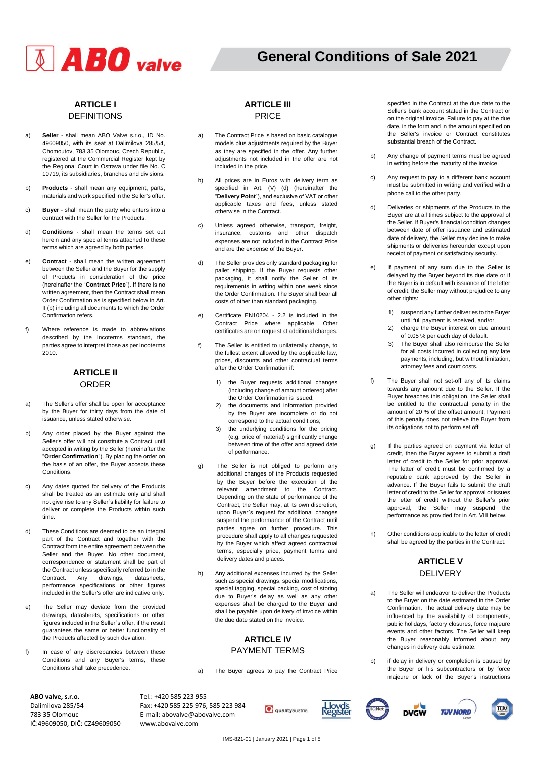# $\textbf{A}$  **ABO** valve

# **General Conditions of Sale 2021**

**2020**

# **ARTICLE I** DEFINITIONS

- a) **Seller**  shall mean ABO Valve s.r.o., ID No. 49609050, with its seat at Dalimilova 285/54, Chomoutov, 783 35 Olomouc, Czech Republic, registered at the Commercial Register kept by the Regional Court in Ostrava under file No. C 10719, its subsidiaries, branches and divisions.
- b) **Products**  shall mean any equipment, parts, materials and work specified in the Seller's offer.
- c) **Buyer**  shall mean the party who enters into a contract with the Seller for the Products.
- d) **Conditions**  shall mean the terms set out herein and any special terms attached to these terms which are agreed by both parties.
- e) **Contract**  shall mean the written agreement between the Seller and the Buyer for the supply of Products in consideration of the price (hereinafter the "**Contract Price**"). If there is no written agreement, then the Contract shall mean Order Confirmation as is specified below in Art. II (b) including all documents to which the Order Confirmation refers.
- f) Where reference is made to abbreviations described by the Incoterms standard, the parties agree to interpret those as per Incoterms 2010.

# **ARTICLE II** ORDER

- a) The Seller's offer shall be open for acceptance by the Buyer for thirty days from the date of issuance, unless stated otherwise.
- b) Any order placed by the Buyer against the Seller's offer will not constitute a Contract until accepted in writing by the Seller (hereinafter the "**Order Confirmation**"). By placing the order on the basis of an offer, the Buyer accepts these Conditions.
- c) Any dates quoted for delivery of the Products shall be treated as an estimate only and shall not give rise to any Seller´s liability for failure to deliver or complete the Products within such time.
- d) These Conditions are deemed to be an integral part of the Contract and together with the Contract form the entire agreement between the Seller and the Buyer. No other document, correspondence or statement shall be part of the Contract unless specifically referred to in the Contract. Any drawings, datasheets, performance specifications or other figures included in the Seller's offer are indicative only.
- e) The Seller may deviate from the provided drawings, datasheets, specifications or other figures included in the Seller´s offer, if the result guarantees the same or better functionality of the Products affected by such deviation.
- f) In case of any discrepancies between these Conditions and any Buyer's terms, these Conditions shall take precedence.

## **ARTICLE III** PRICE

- a) The Contract Price is based on basic catalogue models plus adjustments required by the Buyer as they are specified in the offer. Any further adjustments not included in the offer are not included in the price.
- b) All prices are in Euros with delivery term as specified in Art. (V) (d) (hereinafter the "**Delivery Point**"), and exclusive of VAT or other applicable taxes and fees, unless stated otherwise in the Contract.
- c) Unless agreed otherwise, transport, freight, insurance, customs and other dispatch expenses are not included in the Contract Price and are the expense of the Buyer.
- d) The Seller provides only standard packaging for pallet shipping. If the Buyer requests other packaging, it shall notify the Seller of its requirements in writing within one week since the Order Confirmation. The Buyer shall bear all costs of other than standard packaging.
- e) Certificate EN10204 2.2 is included in the Contract Price where applicable. Other certificates are on request at additional charges.
- f) The Seller is entitled to unilaterally change, to the fullest extent allowed by the applicable law, prices, discounts and other contractual terms after the Order Confirmation if:
	- 1) the Buyer requests additional changes (including change of amount ordered) after the Order Confirmation is issued;
	- 2) the documents and information provided by the Buyer are incomplete or do not correspond to the actual conditions;
	- 3) the underlying conditions for the pricing (e.g. price of material) significantly change between time of the offer and agreed date of performance.
- g) The Seller is not obliged to perform any additional changes of the Products requested by the Buyer before the execution of the relevant amendment to the Contract. Depending on the state of performance of the Contract, the Seller may, at its own discretion, upon Buyer´s request for additional changes suspend the performance of the Contract until parties agree on further procedure. This procedure shall apply to all changes requested by the Buyer which affect agreed contractual terms, especially price, payment terms and delivery dates and places.
- h) Any additional expenses incurred by the Seller such as special drawings, special modifications, special tagging, special packing, cost of storing due to Buyer's delay as well as any other expenses shall be charged to the Buyer and shall be payable upon delivery of invoice within the due date stated on the invoice.

#### **ARTICLE IV**  PAYMENT TERMS

a) The Buyer agrees to pay the Contract Price

specified in the Contract at the due date to the Seller's bank account stated in the Contract or on the original invoice. Failure to pay at the due date, in the form and in the amount specified on the Seller's invoice or Contract constitutes substantial breach of the Contract.

- b) Any change of payment terms must be agreed in writing before the maturity of the invoice.
- c) Any request to pay to a different bank account must be submitted in writing and verified with a phone call to the other party.
- d) Deliveries or shipments of the Products to the Buyer are at all times subject to the approval of the Seller. If Buyer's financial condition changes between date of offer issuance and estimated date of delivery, the Seller may decline to make shipments or deliveries hereunder except upon receipt of payment or satisfactory security.
- e) If payment of any sum due to the Seller is delayed by the Buyer beyond its due date or if the Buyer is in default with issuance of the letter of credit, the Seller may without prejudice to any other rights:
	- 1) suspend any further deliveries to the Buyer until full payment is received, and/or
	- 2) charge the Buyer interest on due amount of 0.05 % per each day of default.
	- 3) The Buyer shall also reimburse the Seller for all costs incurred in collecting any late payments, including, but without limitation, attorney fees and court costs.
- f) The Buyer shall not set-off any of its claims towards any amount due to the Seller. If the Buyer breaches this obligation, the Seller shall be entitled to the contractual penalty in the amount of 20 % of the offset amount. Payment of this penalty does not relieve the Buyer from its obligations not to perform set off.
- g) If the parties agreed on payment via letter of credit, then the Buyer agrees to submit a draft letter of credit to the Seller for prior approval. The letter of credit must be confirmed by a reputable bank approved by the Seller in advance. If the Buyer fails to submit the draft letter of credit to the Seller for approval or issues the letter of credit without the Seller's prior approval, the Seller may suspend the performance as provided for in Art. VIII below.
- h) Other conditions applicable to the letter of credit shall be agreed by the parties in the Contract.

# **ARTICLE V**  DELIVERY

- a) The Seller will endeavor to deliver the Products to the Buyer on the date estimated in the Order Confirmation. The actual delivery date may be influenced by the availability of components, public holidays, factory closures, force majeure events and other factors. The Seller will keep the Buyer reasonably informed about any changes in delivery date estimate.
- b) if delay in delivery or completion is caused by the Buyer or his subcontractors or by force majeure or lack of the Buyer's instructions

**DVGW** 

**TIN NORD** 

π'

**ABO valve, s.r.o.** Dalimilova 285/54 783 35 Olomouc IČ:49609050, DIČ: CZ49609050 Tel.: +420 585 223 955 Fax: +420 585 225 976, 585 223 984 E-mail: abovalve@abovalve.com www.abovalve.com

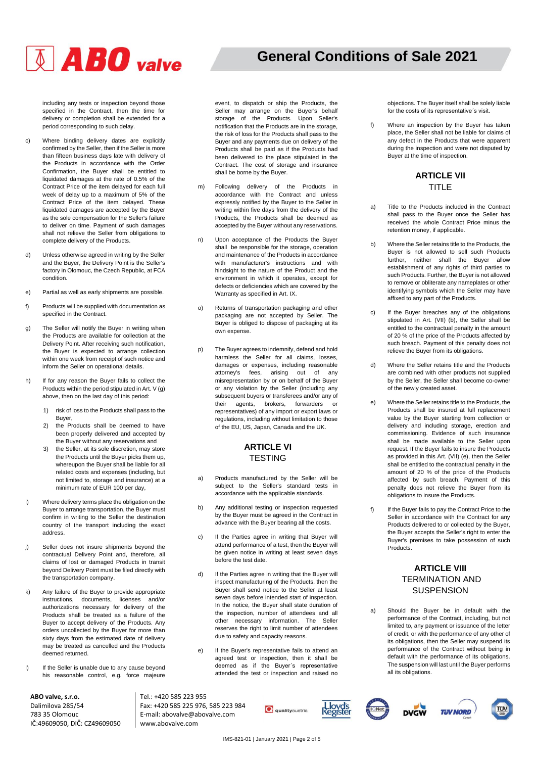# $\sqrt[3]{ABO}$  valve

# **General Conditions of Sale 2021**

**2020**

including any tests or inspection beyond those specified in the Contract, then the time for delivery or completion shall be extended for a period corresponding to such delay.

- c) Where binding delivery dates are explicitly confirmed by the Seller, then if the Seller is more than fifteen business days late with delivery of the Products in accordance with the Order Confirmation, the Buyer shall be entitled to liquidated damages at the rate of 0.5% of the Contract Price of the item delayed for each full week of delay up to a maximum of 5% of the Contract Price of the item delayed. These liquidated damages are accepted by the Buyer as the sole compensation for the Seller's failure to deliver on time. Payment of such damages shall not relieve the Seller from obligations to complete delivery of the Products.
- d) Unless otherwise agreed in writing by the Seller and the Buyer, the Delivery Point is the Seller's factory in Olomouc, the Czech Republic, at FCA condition.
- e) Partial as well as early shipments are possible.
- f) Products will be supplied with documentation as specified in the Contract.
- g) The Seller will notify the Buyer in writing when the Products are available for collection at the Delivery Point. After receiving such notification, the Buyer is expected to arrange collection within one week from receipt of such notice and inform the Seller on operational details.
- h) If for any reason the Buyer fails to collect the Products within the period stipulated in Art. V (g) above, then on the last day of this period:
	- 1) risk of loss to the Products shall pass to the Buyer,
	- 2) the Products shall be deemed to have been properly delivered and accepted by the Buyer without any reservations and
	- 3) the Seller, at its sole discretion, may store the Products until the Buyer picks them up, whereupon the Buyer shall be liable for all related costs and expenses (including, but not limited to, storage and insurance) at a minimum rate of EUR 100 per day,
- i) Where delivery terms place the obligation on the Buyer to arrange transportation, the Buyer must confirm in writing to the Seller the destination country of the transport including the exact address.
- j) Seller does not insure shipments beyond the contractual Delivery Point and, therefore, all claims of lost or damaged Products in transit beyond Delivery Point must be filed directly with the transportation company.
- k) Any failure of the Buyer to provide appropriate instructions, documents, licenses and/or authorizations necessary for delivery of the Products shall be treated as a failure of the Buyer to accept delivery of the Products. Any orders uncollected by the Buyer for more than sixty days from the estimated date of delivery may be treated as cancelled and the Products deemed returned.
- l) If the Seller is unable due to any cause beyond his reasonable control, e.g. force majeure

Tel.: +420 585 223 955

www.abovalve.com

Fax: +420 585 225 976, 585 223 984 E-mail: abovalve@abovalve.com

**ABO valve, s.r.o.** Dalimilova 285/54 783 35 Olomouc IČ:49609050, DIČ: CZ49609050 event, to dispatch or ship the Products, the Seller may arrange on the Buyer's behalf storage of the Products. Upon Seller's notification that the Products are in the storage, the risk of loss for the Products shall pass to the Buyer and any payments due on delivery of the Products shall be paid as if the Products had been delivered to the place stipulated in the Contract. The cost of storage and insurance shall be borne by the Buyer.

- m) Following delivery of the Products in accordance with the Contract and unless expressly notified by the Buyer to the Seller in writing within five days from the delivery of the Products, the Products shall be deemed as accepted by the Buyer without any reservations.
- Upon acceptance of the Products the Buyer shall be responsible for the storage, operation and maintenance of the Products in accordance with manufacturer's instructions and with hindsight to the nature of the Product and the environment in which it operates, except for defects or deficiencies which are covered by the Warranty as specified in Art. IX.
- o) Returns of transportation packaging and other packaging are not accepted by Seller. The Buyer is obliged to dispose of packaging at its own expense.
- p) The Buyer agrees to indemnify, defend and hold harmless the Seller for all claims, losses, damages or expenses, including reasonable attorney's fees, arising out of any misrepresentation by or on behalf of the Buyer or any violation by the Seller (including any subsequent buyers or transferees and/or any of their agents, brokers, forwarders or representatives) of any import or export laws or regulations, including without limitation to those of the EU, US, Japan, Canada and the UK.

#### **ARTICLE VI TESTING**

- a) Products manufactured by the Seller will be subject to the Seller's standard tests in accordance with the applicable standards.
- b) Any additional testing or inspection requested by the Buyer must be agreed in the Contract in advance with the Buyer bearing all the costs.
- c) If the Parties agree in writing that Buyer will attend performance of a test, then the Buyer will be given notice in writing at least seven days before the test date.
- d) If the Parties agree in writing that the Buyer will inspect manufacturing of the Products, then the Buyer shall send notice to the Seller at least seven days before intended start of inspection. In the notice, the Buyer shall state duration of the inspection, number of attendees and all other necessary information. The Seller reserves the right to limit number of attendees due to safety and capacity reasons.
- e) If the Buyer's representative fails to attend an agreed test or inspection, then it shall be deemed as if the Buyer´s representative attended the test or inspection and raised no

objections. The Buyer itself shall be solely liable for the costs of its representative´s visit.

f) Where an inspection by the Buyer has taken place, the Seller shall not be liable for claims of any defect in the Products that were apparent during the inspection and were not disputed by Buyer at the time of inspection.

#### **ARTICLE VII** TITLE

- a) Title to the Products included in the Contract shall pass to the Buyer once the Seller has received the whole Contract Price minus the retention money, if applicable.
- b) Where the Seller retains title to the Products, the Buyer is not allowed to sell such Products further, neither shall the Buyer allow establishment of any rights of third parties to such Products. Further, the Buyer is not allowed to remove or obliterate any nameplates or other identifying symbols which the Seller may have affixed to any part of the Products.
- c) If the Buyer breaches any of the obligations stipulated in Art. (VII) (b), the Seller shall be entitled to the contractual penalty in the amount of 20 % of the price of the Products affected by such breach. Payment of this penalty does not relieve the Buyer from its obligations.
- d) Where the Seller retains title and the Products are combined with other products not supplied by the Seller, the Seller shall become co-owner of the newly created asset.
- e) Where the Seller retains title to the Products, the Products shall be insured at full replacement value by the Buyer starting from collection or delivery and including storage, erection and commissioning. Evidence of such insurance shall be made available to the Seller upon request. If the Buyer fails to insure the Products as provided in this Art. (VII) (e), then the Seller shall be entitled to the contractual penalty in the amount of 20 % of the price of the Products affected by such breach. Payment of this penalty does not relieve the Buyer from its obligations to insure the Products.
- f) If the Buyer fails to pay the Contract Price to the Seller in accordance with the Contract for any Products delivered to or collected by the Buyer, the Buyer accepts the Seller's right to enter the Buyer's premises to take possession of such Products.

## **ARTICLE VIII** TERMINATION AND **SUSPENSION**

a) Should the Buyer be in default with the performance of the Contract, including, but not limited to, any payment or issuance of the letter of credit, or with the performance of any other of its obligations, then the Seller may suspend its performance of the Contract without being in default with the performance of its obligations. The suspension will last until the Buyer performs all its obligations.

**TIN NORD** 

**DVGW** 

**Q** qualityaustria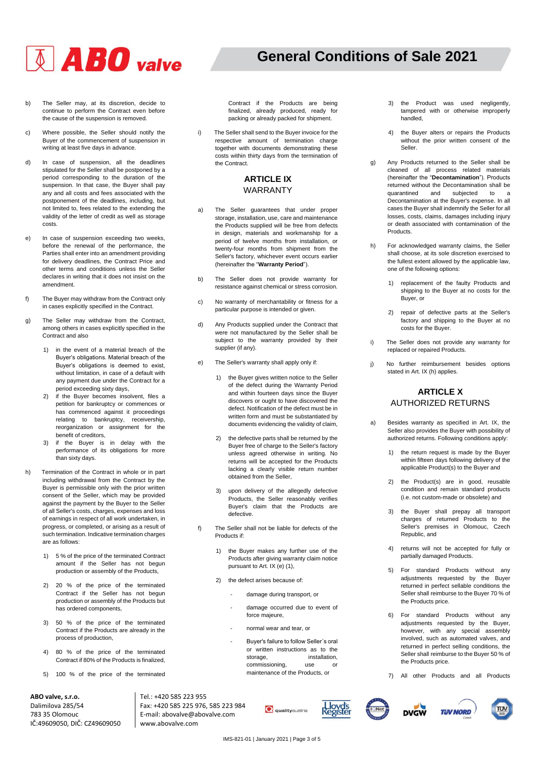

**2020**

Contract if the Products are being finalized, already produced, ready for packing or already packed for shipment.

i) The Seller shall send to the Buyer invoice for the respective amount of termination charge together with documents demonstrating these costs within thirty days from the termination of

> **ARTICLE IX** WARRANTY

a) The Seller guarantees that under proper storage, installation, use, care and maintenance the Products supplied will be free from defects in design, materials and workmanship for a period of twelve months from installation, or twenty-four months from shipment from the Seller's factory, whichever event occurs earlier (hereinafter the "**Warranty Period**"). b) The Seller does not provide warranty for resistance against chemical or stress corrosion. c) No warranty of merchantability or fitness for a particular purpose is intended or given. d) Any Products supplied under the Contract that were not manufactured by the Seller shall be subject to the warranty provided by their

the Contract.

supplier (if any).

e) The Seller's warranty shall apply only if:

obtained from the Seller,

defective.

Products if:

3) upon delivery of the allegedly defective Products, the Seller reasonably verifies Buyer's claim that the Products are

1) the Buyer makes any further use of the Products after giving warranty claim notice

> - damage during transport, or - damage occurred due to event of

f) The Seller shall not be liable for defects of the

pursuant to Art. IX (e) (1), 2) the defect arises because of:

> force majeure, - normal wear and tear, or

1) the Buyer gives written notice to the Seller of the defect during the Warranty Period and within fourteen days since the Buyer discovers or ought to have discovered the defect. Notification of the defect must be in written form and must be substantiated by documents evidencing the validity of claim, 2) the defective parts shall be returned by the Buyer free of charge to the Seller's factory unless agreed otherwise in writing. No returns will be accepted for the Products lacking a clearly visible return number

- b) The Seller may, at its discretion, decide to continue to perform the Contract even before the cause of the suspension is removed.
- c) Where possible, the Seller should notify the Buyer of the commencement of suspension in writing at least five days in advance.
- d) In case of suspension, all the deadlines stipulated for the Seller shall be postponed by a period corresponding to the duration of the suspension. In that case, the Buyer shall pay any and all costs and fees associated with the postponement of the deadlines, including, but not limited to, fees related to the extending the validity of the letter of credit as well as storage costs.
- e) In case of suspension exceeding two weeks, before the renewal of the performance, the Parties shall enter into an amendment providing for delivery deadlines, the Contract Price and other terms and conditions unless the Seller declares in writing that it does not insist on the amendment.
- f) The Buyer may withdraw from the Contract only in cases explicitly specified in the Contract.
- g) The Seller may withdraw from the Contract, among others in cases explicitly specified in the Contract and also
	- 1) in the event of a material breach of the Buyer's obligations. Material breach of the Buyer's obligations is deemed to exist, without limitation, in case of a default with any payment due under the Contract for a period exceeding sixty days,
	- 2) if the Buyer becomes insolvent, files a petition for bankruptcy or commences or has commenced against it proceedings relating to bankruptcy, receivership, reorganization or assignment for the benefit of creditors,
	- 3) if the Buyer is in delay with the performance of its obligations for more than sixty days.
- h) Termination of the Contract in whole or in part including withdrawal from the Contract by the Buyer is permissible only with the prior written consent of the Seller, which may be provided against the payment by the Buyer to the Seller of all Seller's costs, charges, expenses and loss of earnings in respect of all work undertaken, in progress, or completed, or arising as a result of such termination. Indicative termination charges are as follows:
	- 1) 5 % of the price of the terminated Contract amount if the Seller has not begun production or assembly of the Products,
	- 2) 20 % of the price of the terminated Contract if the Seller has not begun production or assembly of the Products but has ordered components,
	- 3) 50 % of the price of the terminated Contract if the Products are already in the process of production,
	- 4) 80 % of the price of the terminated Contract if 80% of the Products is finalized,
	- 5) 100 % of the price of the terminated

**ABO valve, s.r.o.** Dalimilova 285/54 783 35 Olomouc IČ:49609050, DIČ: CZ49609050 Tel.: +420 585 223 955 Fax: +420 585 225 976, 585 223 984 E-mail: abovalve@abovalve.com www.abovalve.com

**Q** qualityaustria

- Buyer's failure to follow Seller´s oral or written instructions as to the storage, installation,<br>
commissioning. use or commissioning, use or maintenance of the Products, or

- 3) the Product was used negligently, tampered with or otherwise improperly handled,
- 4) the Buyer alters or repairs the Products without the prior written consent of the Seller.
- g) Any Products returned to the Seller shall be cleaned of all process related materials (hereinafter the "**Decontamination**"). Products returned without the Decontamination shall be quarantined and subjected to a Decontamination at the Buyer's expense. In all cases the Buyer shall indemnify the Seller for all losses, costs, claims, damages including injury or death associated with contamination of the **Products**
- h) For acknowledged warranty claims, the Seller shall choose, at its sole discretion exercised to the fullest extent allowed by the applicable law, one of the following options:
	- 1) replacement of the faulty Products and shipping to the Buyer at no costs for the Buyer, or
	- 2) repair of defective parts at the Seller's factory and shipping to the Buyer at no costs for the Buyer.
- i) The Seller does not provide any warranty for replaced or repaired Products.
- j) No further reimbursement besides options stated in Art. IX (h) applies.

# **ARTICLE X**  AUTHORIZED RETURNS

- a) Besides warranty as specified in Art. IX, the Seller also provides the Buyer with possibility of authorized returns. Following conditions apply:
	- the return request is made by the Buyer within fifteen days following delivery of the applicable Product(s) to the Buyer and
	- 2) the Product(s) are in good, reusable condition and remain standard products (i.e. not custom-made or obsolete) and
	- 3) the Buyer shall prepay all transport charges of returned Products to the Seller's premises in Olomouc, Czech Republic, and
	- 4) returns will not be accepted for fully or partially damaged Products.
	- 5) For standard Products without any adjustments requested by the Buyer returned in perfect sellable conditions the Seller shall reimburse to the Buyer 70 % of the Products price.
	- 6) For standard Products without any adjustments requested by the Buyer, however, with any special assembly involved, such as automated valves, and returned in perfect selling conditions, the Seller shall reimburse to the Buyer 50 % of the Products price.
	- 7) All other Products and all Products

**TIN NORD** 







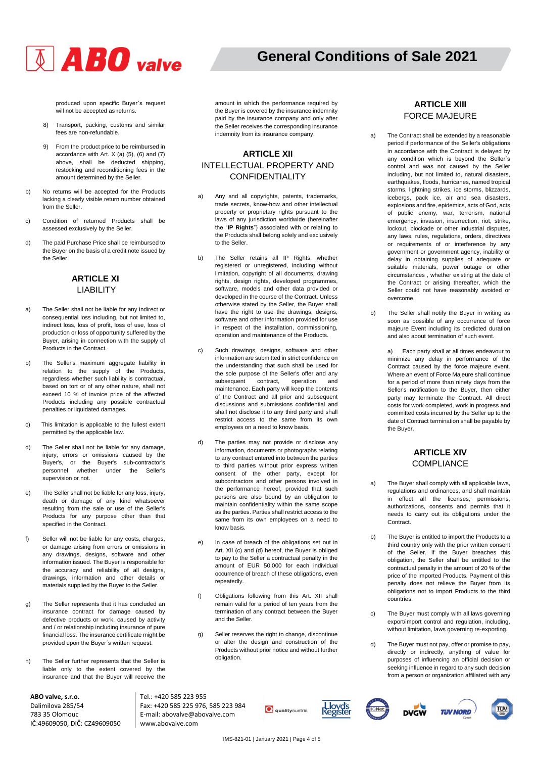

# **General Conditions of Sale 2021**

**2020**

produced upon specific Buyer´s request will not be accepted as returns.

- 8) Transport, packing, customs and similar fees are non-refundable.
- 9) From the product price to be reimbursed in accordance with Art.  $X$  (a) (5), (6) and (7) above, shall be deducted shipping, restocking and reconditioning fees in the amount determined by the Seller.
- b) No returns will be accepted for the Products lacking a clearly visible return number obtained from the Seller.
- c) Condition of returned Products shall be assessed exclusively by the Seller.
- d) The paid Purchase Price shall be reimbursed to the Buyer on the basis of a credit note issued by the Seller.

# **ARTICLE XI** LIABILITY

- a) The Seller shall not be liable for any indirect or consequential loss including, but not limited to, indirect loss, loss of profit, loss of use, loss of production or loss of opportunity suffered by the Buyer, arising in connection with the supply of Products in the Contract.
- b) The Seller's maximum aggregate liability in relation to the supply of the Products, regardless whether such liability is contractual, based on tort or of any other nature, shall not exceed 10 % of invoice price of the affected Products including any possible contractual penalties or liquidated damages.
- c) This limitation is applicable to the fullest extent permitted by the applicable law.
- d) The Seller shall not be liable for any damage, injury, errors or omissions caused by the Buyer's, or the Buyer's sub-contractor's personnel whether under the supervision or not.
- e) The Seller shall not be liable for any loss, injury, death or damage of any kind whatsoever resulting from the sale or use of the Seller's Products for any purpose other than that specified in the Contract.
- f) Seller will not be liable for any costs, charges, or damage arising from errors or omissions in any drawings, designs, software and other information issued. The Buyer is responsible for the accuracy and reliability of all designs, drawings, information and other details or materials supplied by the Buyer to the Seller.
- g) The Seller represents that it has concluded an insurance contract for damage caused by defective products or work, caused by activity and / or relationship including insurance of pure financial loss. The insurance certificate might be provided upon the Buyer´s written request.
- h) The Seller further represents that the Seller is liable only to the extent covered by the insurance and that the Buyer will receive the

**ABO valve, s.r.o.** Dalimilova 285/54 783 35 Olomouc IČ:49609050, DIČ: CZ49609050 amount in which the performance required by the Buyer is covered by the insurance indemnity paid by the insurance company and only after the Seller receives the corresponding insurance indemnity from its insurance company.

## **ARTICLE XII** INTELLECTUAL PROPERTY AND CONFIDENTIALITY

- a) Any and all copyrights, patents, trademarks, trade secrets, know-how and other intellectual property or proprietary rights pursuant to the laws of any jurisdiction worldwide (hereinafter the "**IP Rights**") associated with or relating to the Products shall belong solely and exclusively to the Seller.
- b) The Seller retains all IP Rights, whether registered or unregistered, including without limitation, copyright of all documents, drawing rights, design rights, developed programmes, software, models and other data provided or developed in the course of the Contract. Unless otherwise stated by the Seller, the Buyer shall have the right to use the drawings, designs, software and other information provided for use in respect of the installation, commissioning, operation and maintenance of the Products.
- c) Such drawings, designs, software and other information are submitted in strict confidence on the understanding that such shall be used for the sole purpose of the Seller's offer and any subsequent contract, operation and maintenance. Each party will keep the contents of the Contract and all prior and subsequent discussions and submissions confidential and shall not disclose it to any third party and shall restrict access to the same from its own employees on a need to know basis.
- d) The parties may not provide or disclose any information, documents or photographs relating to any contract entered into between the parties to third parties without prior express written consent of the other party, except for subcontractors and other persons involved in the performance hereof, provided that such persons are also bound by an obligation to maintain confidentiality within the same scope as the parties. Parties shall restrict access to the same from its own employees on a need to know basis.
- In case of breach of the obligations set out in Art. XII (c) and (d) hereof, the Buyer is obliged to pay to the Seller a contractual penalty in the amount of EUR 50,000 for each individual occurrence of breach of these obligations, even repeatedly.
- f) Obligations following from this Art. XII shall remain valid for a period of ten years from the termination of any contract between the Buyer and the Seller.
- g) Seller reserves the right to change, discontinue or alter the design and construction of the Products without prior notice and without further obligation.

#### Tel.: +420 585 223 955 Fax: +420 585 225 976, 585 223 984 E-mail: abovalve@abovalve.com www.abovalve.com





# **ARTICLE XIII**  FORCE MAJEURE

- a) The Contract shall be extended by a reasonable period if performance of the Seller's obligations in accordance with the Contract is delayed by any condition which is beyond the Seller´s control and was not caused by the Seller including, but not limited to, natural disasters, earthquakes, floods, hurricanes, named tropical storms, lightning strikes, ice storms, blizzards, icebergs, pack ice, air and sea disasters, explosions and fire, epidemics, acts of God, acts of public enemy, war, terrorism, national emergency, invasion, insurrection, riot, strike, lockout, blockade or other industrial disputes any laws, rules, regulations, orders, directives or requirements of or interference by any government or government agency, inability or delay in obtaining supplies of adequate or suitable materials, power outage or other circumstances , whether existing at the date of the Contract or arising thereafter, which the Seller could not have reasonably avoided or overcome.
- b) The Seller shall notify the Buyer in writing as soon as possible of any occurrence of force majeure Event including its predicted duration and also about termination of such event.

a) Each party shall at all times endeavour to minimize any delay in performance of the Contract caused by the force majeure event. Where an event of Force Majeure shall continue for a period of more than ninety days from the Seller's notification to the Buyer, then either party may terminate the Contract. All direct costs for work completed, work in progress and committed costs incurred by the Seller up to the date of Contract termination shall be payable by the Buyer.

#### **ARTICLE XIV COMPLIANCE**

- a) The Buyer shall comply with all applicable laws, regulations and ordinances, and shall maintain in effect all the licenses, permissions, authorizations, consents and permits that it needs to carry out its obligations under the Contract.
- b) The Buyer is entitled to import the Products to a third country only with the prior written consent of the Seller. If the Buyer breaches this obligation, the Seller shall be entitled to the contractual penalty in the amount of 20 % of the price of the imported Products. Payment of this penalty does not relieve the Buyer from its obligations not to import Products to the third countries.
- c) The Buyer must comply with all laws governing export/import control and regulation, including, without limitation, laws governing re-exporting.
- d) The Buyer must not pay, offer or promise to pay, directly or indirectly, anything of value for purposes of influencing an official decision or seeking influence in regard to any such decision from a person or organization affiliated with any

**DVGW** 

**TIN NORD**